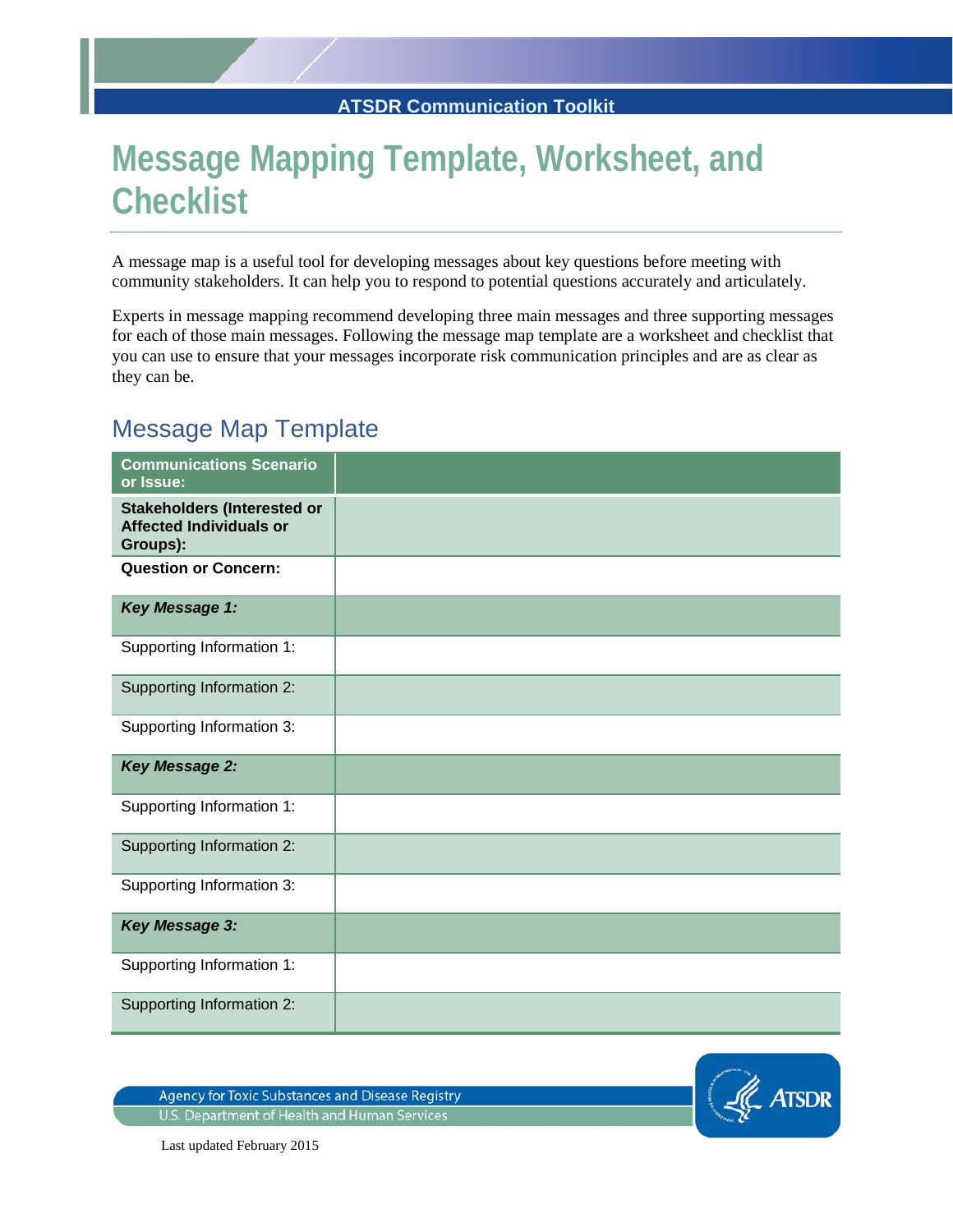## **Message Mapping Template, Worksheet, and Checklist**

A message map is a useful tool for developing messages about key questions before meeting with community stakeholders. It can help you to respond to potential questions accurately and articulately.

Experts in message mapping recommend developing three main messages and three supporting messages for each of those main messages. Following the message map template are a worksheet and checklist that you can use to ensure that your messages incorporate risk communication principles and are as clear as they can be.

## Message Map Template

| <b>Communications Scenario</b><br>or Issue:                                      |  |
|----------------------------------------------------------------------------------|--|
| <b>Stakeholders (Interested or</b><br><b>Affected Individuals or</b><br>Groups): |  |
| <b>Question or Concern:</b>                                                      |  |
| Key Message 1:                                                                   |  |
| Supporting Information 1:                                                        |  |
| Supporting Information 2:                                                        |  |
| Supporting Information 3:                                                        |  |
| <b>Key Message 2:</b>                                                            |  |
| Supporting Information 1:                                                        |  |
| Supporting Information 2:                                                        |  |
| Supporting Information 3:                                                        |  |
| <b>Key Message 3:</b>                                                            |  |
| Supporting Information 1:                                                        |  |
| Supporting Information 2:                                                        |  |

**Agency for Toxic Substances and Disease Registry** U.S. Department of Health and Human Services



Last updated February 2015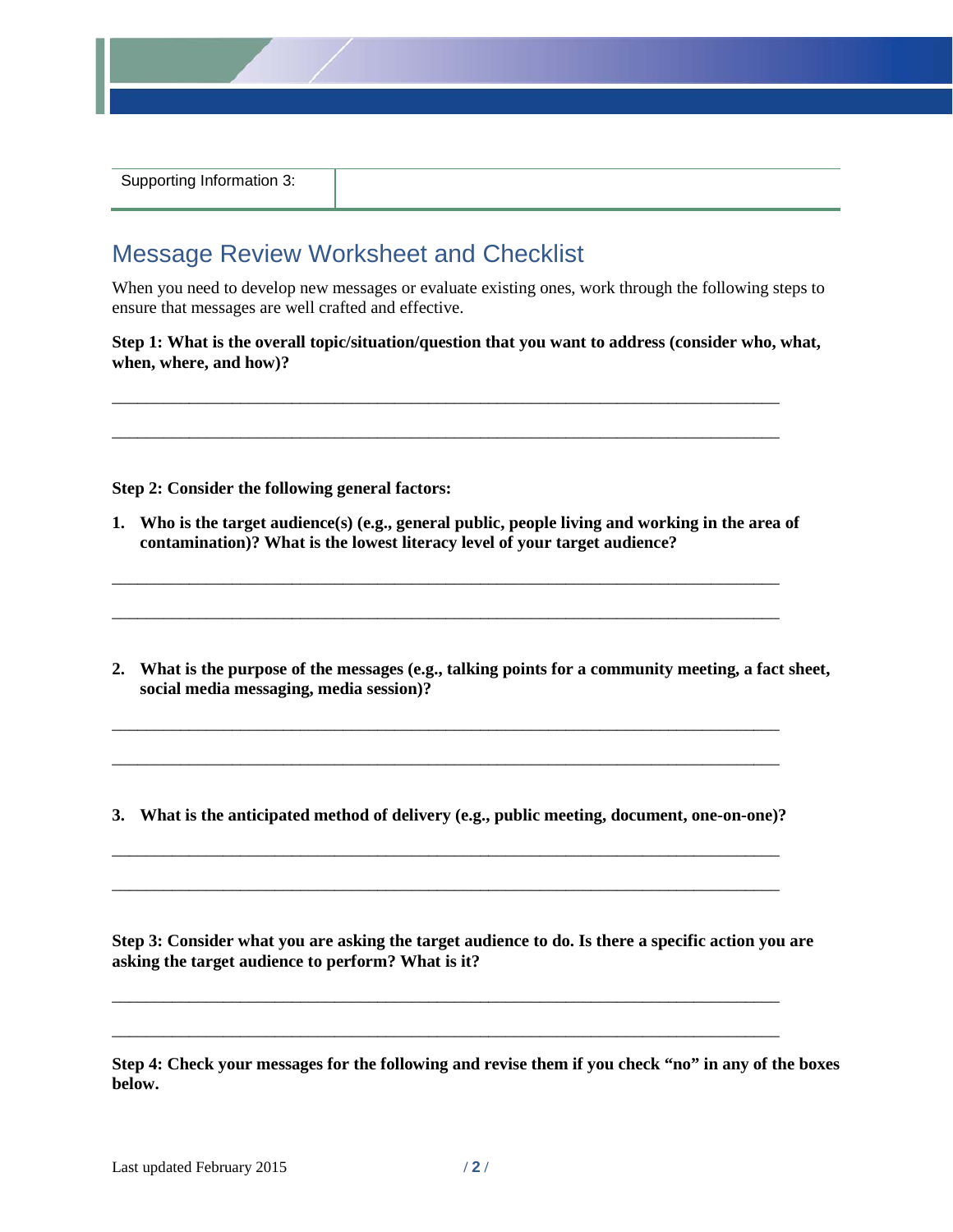

|  | Supporting Information 3: |
|--|---------------------------|
|--|---------------------------|

## Message Review Worksheet and Checklist

When you need to develop new messages or evaluate existing ones, work through the following steps to ensure that messages are well crafted and effective.

**Step 1: What is the overall topic/situation/question that you want to address (consider who, what, when, where, and how)?**

\_\_\_\_\_\_\_\_\_\_\_\_\_\_\_\_\_\_\_\_\_\_\_\_\_\_\_\_\_\_\_\_\_\_\_\_\_\_\_\_\_\_\_\_\_\_\_\_\_\_\_\_\_\_\_\_\_\_\_\_\_\_\_\_\_\_\_\_\_\_\_\_\_\_\_\_\_\_

\_\_\_\_\_\_\_\_\_\_\_\_\_\_\_\_\_\_\_\_\_\_\_\_\_\_\_\_\_\_\_\_\_\_\_\_\_\_\_\_\_\_\_\_\_\_\_\_\_\_\_\_\_\_\_\_\_\_\_\_\_\_\_\_\_\_\_\_\_\_\_\_\_\_\_\_\_\_

**Step 2: Consider the following general factors:**

**1. Who is the target audience(s) (e.g., general public, people living and working in the area of contamination)? What is the lowest literacy level of your target audience?**

\_\_\_\_\_\_\_\_\_\_\_\_\_\_\_\_\_\_\_\_\_\_\_\_\_\_\_\_\_\_\_\_\_\_\_\_\_\_\_\_\_\_\_\_\_\_\_\_\_\_\_\_\_\_\_\_\_\_\_\_\_\_\_\_\_\_\_\_\_\_\_\_\_\_\_\_\_\_

\_\_\_\_\_\_\_\_\_\_\_\_\_\_\_\_\_\_\_\_\_\_\_\_\_\_\_\_\_\_\_\_\_\_\_\_\_\_\_\_\_\_\_\_\_\_\_\_\_\_\_\_\_\_\_\_\_\_\_\_\_\_\_\_\_\_\_\_\_\_\_\_\_\_\_\_\_\_

- **2. What is the purpose of the messages (e.g., talking points for a community meeting, a fact sheet, social media messaging, media session)?**
- **3. What is the anticipated method of delivery (e.g., public meeting, document, one-on-one)?**

\_\_\_\_\_\_\_\_\_\_\_\_\_\_\_\_\_\_\_\_\_\_\_\_\_\_\_\_\_\_\_\_\_\_\_\_\_\_\_\_\_\_\_\_\_\_\_\_\_\_\_\_\_\_\_\_\_\_\_\_\_\_\_\_\_\_\_\_\_\_\_\_\_\_\_\_\_\_

\_\_\_\_\_\_\_\_\_\_\_\_\_\_\_\_\_\_\_\_\_\_\_\_\_\_\_\_\_\_\_\_\_\_\_\_\_\_\_\_\_\_\_\_\_\_\_\_\_\_\_\_\_\_\_\_\_\_\_\_\_\_\_\_\_\_\_\_\_\_\_\_\_\_\_\_\_\_

\_\_\_\_\_\_\_\_\_\_\_\_\_\_\_\_\_\_\_\_\_\_\_\_\_\_\_\_\_\_\_\_\_\_\_\_\_\_\_\_\_\_\_\_\_\_\_\_\_\_\_\_\_\_\_\_\_\_\_\_\_\_\_\_\_\_\_\_\_\_\_\_\_\_\_\_\_\_

\_\_\_\_\_\_\_\_\_\_\_\_\_\_\_\_\_\_\_\_\_\_\_\_\_\_\_\_\_\_\_\_\_\_\_\_\_\_\_\_\_\_\_\_\_\_\_\_\_\_\_\_\_\_\_\_\_\_\_\_\_\_\_\_\_\_\_\_\_\_\_\_\_\_\_\_\_\_

\_\_\_\_\_\_\_\_\_\_\_\_\_\_\_\_\_\_\_\_\_\_\_\_\_\_\_\_\_\_\_\_\_\_\_\_\_\_\_\_\_\_\_\_\_\_\_\_\_\_\_\_\_\_\_\_\_\_\_\_\_\_\_\_\_\_\_\_\_\_\_\_\_\_\_\_\_\_

\_\_\_\_\_\_\_\_\_\_\_\_\_\_\_\_\_\_\_\_\_\_\_\_\_\_\_\_\_\_\_\_\_\_\_\_\_\_\_\_\_\_\_\_\_\_\_\_\_\_\_\_\_\_\_\_\_\_\_\_\_\_\_\_\_\_\_\_\_\_\_\_\_\_\_\_\_\_

**Step 3: Consider what you are asking the target audience to do. Is there a specific action you are asking the target audience to perform? What is it?**

**Step 4: Check your messages for the following and revise them if you check "no" in any of the boxes below.**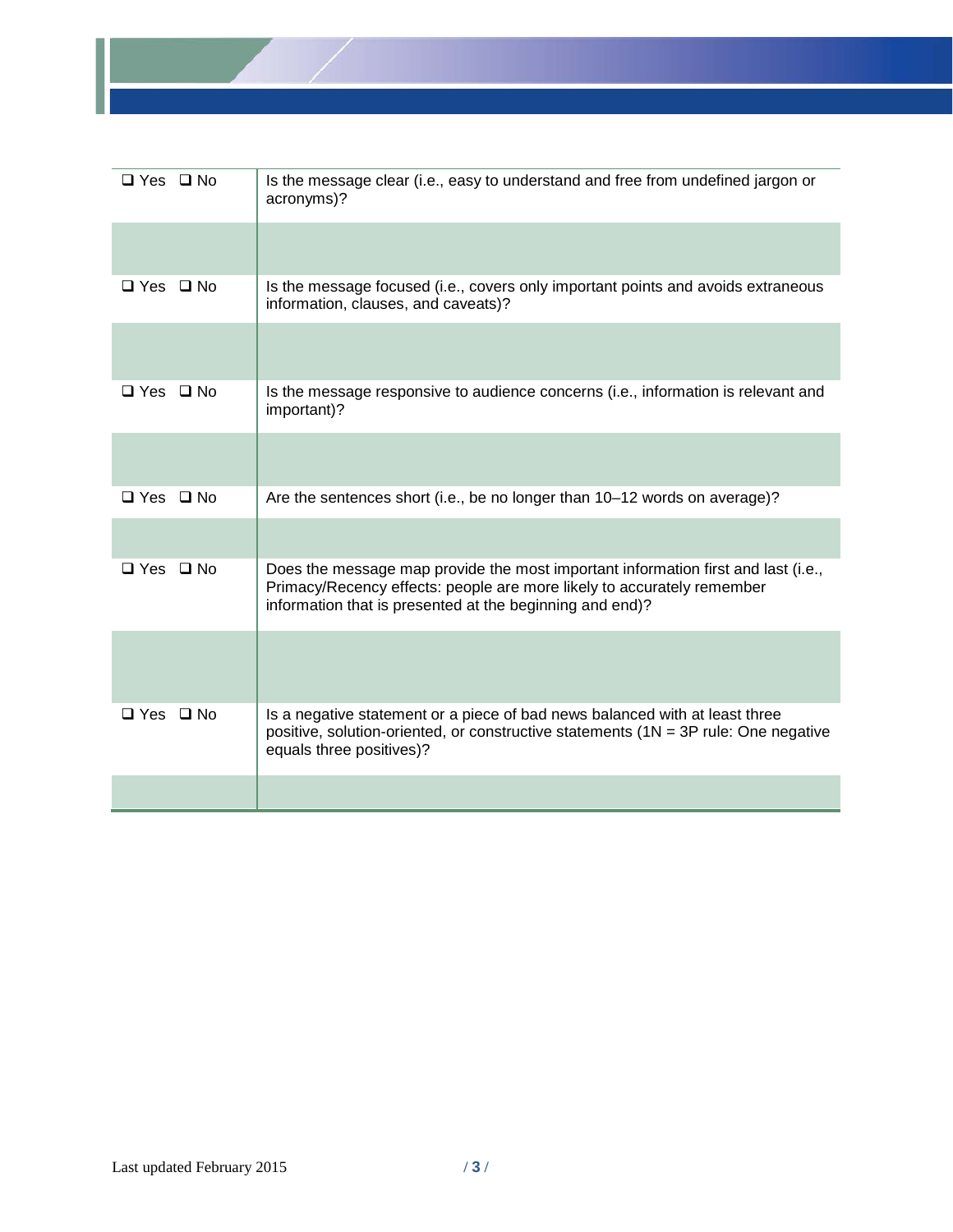

| $\Box$ Yes $\Box$ No | Is the message clear (i.e., easy to understand and free from undefined jargon or<br>acronyms)?                                                                                                                          |
|----------------------|-------------------------------------------------------------------------------------------------------------------------------------------------------------------------------------------------------------------------|
|                      |                                                                                                                                                                                                                         |
| $\Box$ Yes $\Box$ No | Is the message focused (i.e., covers only important points and avoids extraneous<br>information, clauses, and caveats)?                                                                                                 |
|                      |                                                                                                                                                                                                                         |
| $\Box$ Yes $\Box$ No | Is the message responsive to audience concerns (i.e., information is relevant and<br>important)?                                                                                                                        |
|                      |                                                                                                                                                                                                                         |
| $\Box$ Yes $\Box$ No | Are the sentences short (i.e., be no longer than 10-12 words on average)?                                                                                                                                               |
|                      |                                                                                                                                                                                                                         |
| $\Box$ Yes $\Box$ No | Does the message map provide the most important information first and last (i.e.,<br>Primacy/Recency effects: people are more likely to accurately remember<br>information that is presented at the beginning and end)? |
|                      |                                                                                                                                                                                                                         |
| $\Box$ Yes $\Box$ No | Is a negative statement or a piece of bad news balanced with at least three<br>positive, solution-oriented, or constructive statements $(1N = 3P$ rule: One negative<br>equals three positives)?                        |
|                      |                                                                                                                                                                                                                         |